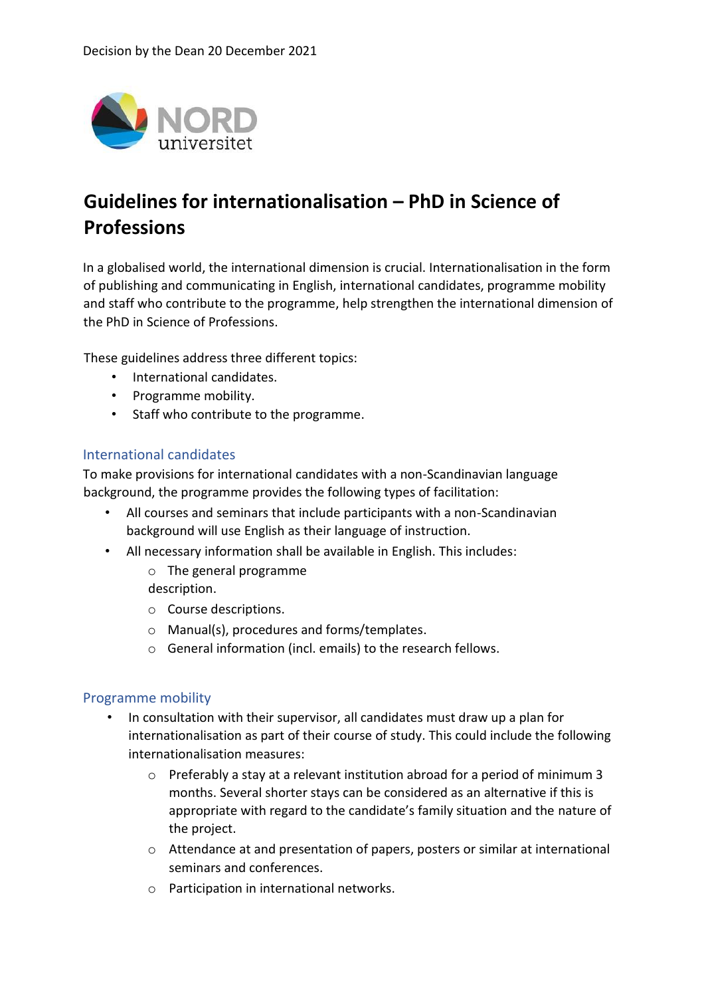

## **Guidelines for internationalisation – PhD in Science of Professions**

In a globalised world, the international dimension is crucial. Internationalisation in the form of publishing and communicating in English, international candidates, programme mobility and staff who contribute to the programme, help strengthen the international dimension of the PhD in Science of Professions.

These guidelines address three different topics:

- International candidates.
- Programme mobility.
- Staff who contribute to the programme.

## International candidates

To make provisions for international candidates with a non-Scandinavian language background, the programme provides the following types of facilitation:

- All courses and seminars that include participants with a non-Scandinavian background will use English as their language of instruction.
- All necessary information shall be available in English. This includes:
	- o The general programme

description.

- o Course descriptions.
- o Manual(s), procedures and forms/templates.
- o General information (incl. emails) to the research fellows.

## Programme mobility

- In consultation with their supervisor, all candidates must draw up a plan for internationalisation as part of their course of study. This could include the following internationalisation measures:
	- $\circ$  Preferably a stay at a relevant institution abroad for a period of minimum 3 months. Several shorter stays can be considered as an alternative if this is appropriate with regard to the candidate's family situation and the nature of the project.
	- o Attendance at and presentation of papers, posters or similar at international seminars and conferences.
	- o Participation in international networks.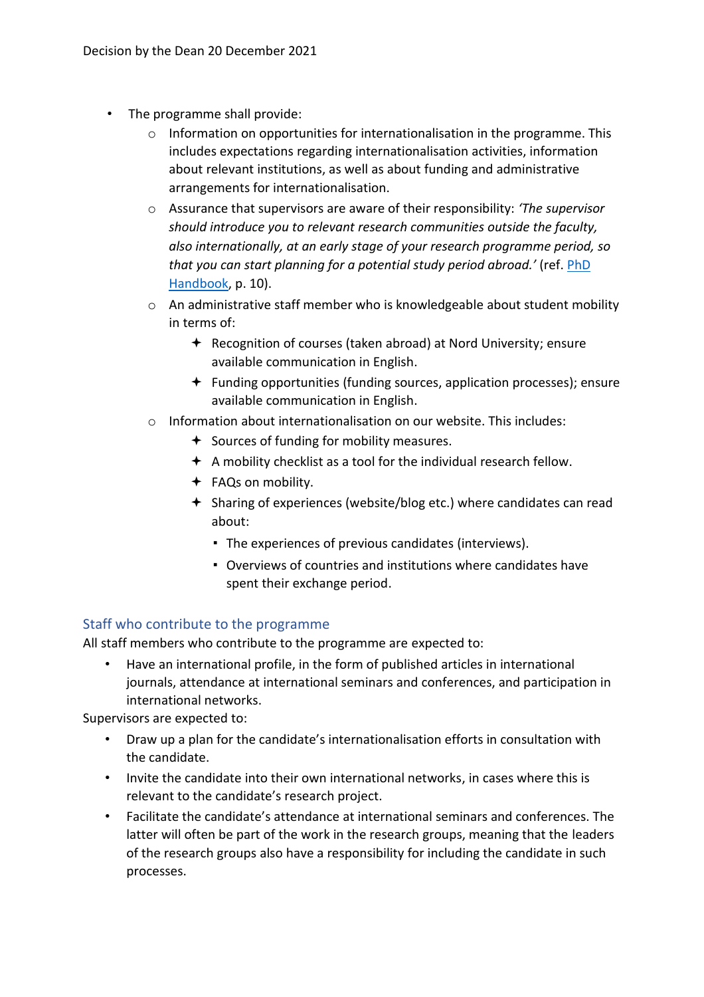- The programme shall provide:
	- $\circ$  Information on opportunities for internationalisation in the programme. This includes expectations regarding internationalisation activities, information about relevant institutions, as well as about funding and administrative arrangements for internationalisation.
	- o Assurance that supervisors are aware of their responsibility: *'The supervisor should introduce you to relevant research communities outside the faculty, also internationally, at an early stage of your research programme period, so that you can start planning for a potential study period abroad.'* (ref. [PhD](https://www.nord.no/no/forskning/doktorgrad/phd/Documents/PhD_handbok.pdf)  [Handbook,](https://www.nord.no/no/forskning/doktorgrad/phd/Documents/PhD_handbok.pdf) p. 10).
	- o An administrative staff member who is knowledgeable about student mobility in terms of:
		- $\triangleq$  Recognition of courses (taken abroad) at Nord University; ensure available communication in English.
		- $\div$  Funding opportunities (funding sources, application processes); ensure available communication in English.
	- o Information about internationalisation on our website. This includes:
		- $\div$  Sources of funding for mobility measures.
		- $\triangle$  A mobility checklist as a tool for the individual research fellow.
		- FAQs on mobility.
		- Sharing of experiences (website/blog etc.) where candidates can read about:
			- The experiences of previous candidates (interviews).
			- Overviews of countries and institutions where candidates have spent their exchange period.

## Staff who contribute to the programme

All staff members who contribute to the programme are expected to:

• Have an international profile, in the form of published articles in international journals, attendance at international seminars and conferences, and participation in international networks.

Supervisors are expected to:

- Draw up a plan for the candidate's internationalisation efforts in consultation with the candidate.
- Invite the candidate into their own international networks, in cases where this is relevant to the candidate's research project.
- Facilitate the candidate's attendance at international seminars and conferences. The latter will often be part of the work in the research groups, meaning that the leaders of the research groups also have a responsibility for including the candidate in such processes.